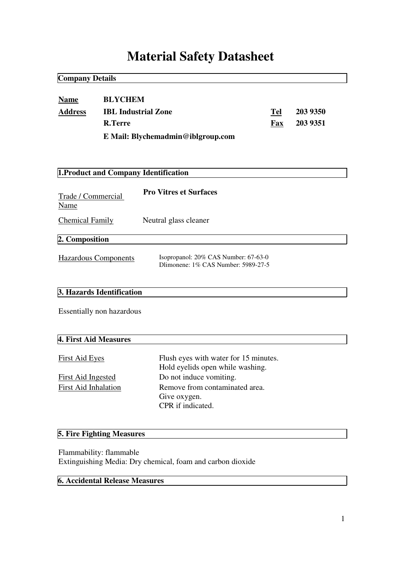# **Material Safety Datasheet**

| <b>Company Details</b>                                                     |                                                                |                                                                             |              |                      |  |
|----------------------------------------------------------------------------|----------------------------------------------------------------|-----------------------------------------------------------------------------|--------------|----------------------|--|
| <b>Name</b><br><b>Address</b>                                              | <b>BLYCHEM</b><br><b>IBL Industrial Zone</b><br><b>R.Terre</b> |                                                                             | Tel<br>$Fax$ | 203 9350<br>203 9351 |  |
| E Mail: Blychemadmin@iblgroup.com<br>1. Product and Company Identification |                                                                |                                                                             |              |                      |  |
| Trade / Commercial<br>Name                                                 |                                                                | <b>Pro Vitres et Surfaces</b>                                               |              |                      |  |
| <b>Chemical Family</b>                                                     |                                                                | Neutral glass cleaner                                                       |              |                      |  |
| 2. Composition                                                             |                                                                |                                                                             |              |                      |  |
| <b>Hazardous Components</b>                                                |                                                                | Isopropanol: 20% CAS Number: 67-63-0<br>Dlimonene: 1% CAS Number: 5989-27-5 |              |                      |  |
|                                                                            | 3. Hazards Identification                                      |                                                                             |              |                      |  |
|                                                                            | Essentially non hazardous                                      |                                                                             |              |                      |  |

# **4. First Aid Measures**

| <b>First Aid Eyes</b>       | Flush eyes with water for 15 minutes. |
|-----------------------------|---------------------------------------|
|                             | Hold eyelids open while washing.      |
| First Aid Ingested          | Do not induce vomiting.               |
| <b>First Aid Inhalation</b> | Remove from contaminated area.        |
|                             | Give oxygen.                          |
|                             | CPR if indicated.                     |

# **5. Fire Fighting Measures**

Flammability: flammable Extinguishing Media: Dry chemical, foam and carbon dioxide

# **6. Accidental Release Measures**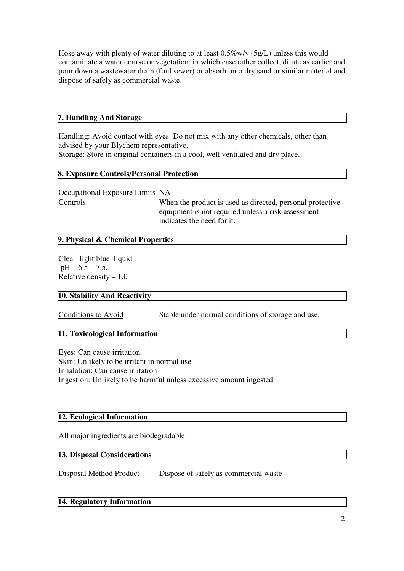Hose away with plenty of water diluting to at least 0.5%w/v (5g/L) unless this would contaminate a water course or vegetation, in which case either collect, dilute as earlier and pour down a wastewater drain (foul sewer) or absorb onto dry sand or similar material and dispose of safely as commercial waste.

## **7. Handling And Storage**

Handling: Avoid contact with eyes. Do not mix with any other chemicals, other than advised by your Blychem representative. Storage: Store in original containers in a cool, well ventilated and dry place.

#### **8. Exposure Controls/Personal Protection**

Occupational Exposure Limits NA

Controls When the product is used as directed, personal protective equipment is not required unless a risk assessment indicates the need for it.

# **9. Physical & Chemical Properties**

Clear light blue liquid  $pH - 6.5 - 7.5$ . Relative density  $-1.0$ 

#### **10. Stability And Reactivity**

Conditions to Avoid Stable under normal conditions of storage and use.

#### **11. Toxicological Information**

Eyes: Can cause irritation Skin: Unlikely to be irritant in normal use Inhalation: Can cause irritation Ingestion: Unlikely to be harmful unless excessive amount ingested

#### **12. Ecological Information**

All major ingredients are biodegradable

#### **13. Disposal Considerations**

Disposal Method Product Dispose of safely as commercial waste